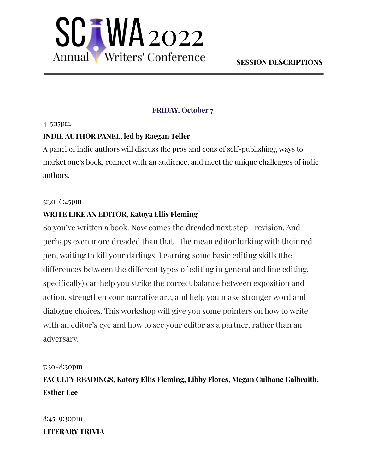

# **FRIDAY, October 7**

### 4-5:15pm

## **INDIE AUTHOR PANEL, led by Raegan Teller**

A panel of indie authors will discuss the pros and cons of self-publishing, ways to market one's book, connect with an audience, and meet the unique challenges of indie authors.

### 5:30-6:45pm

## **WRITE LIKE AN EDITOR, Katoya Ellis Fleming**

So you've written a book. Now comes the dreaded next step—revision. And perhaps even more dreaded than that—the mean editor lurking with their red pen, waiting to kill your darlings. Learning some basic editing skills (the differences between the different types of editing in general and line editing, specifically) can help you strike the correct balance between exposition and action, strengthen your narrative arc, and help you make stronger word and dialogue choices. This workshop will give you some pointers on how to write with an editor's eye and how to see your editor as a partner, rather than an adversary.

## 7:30-8:30pm

**FACULTY READINGS, Katory Ellis Fleming, Libby Flores, Megan Culhane Galbraith, Esther Lee**

8:45-9:30pm **LITERARY TRIVIA**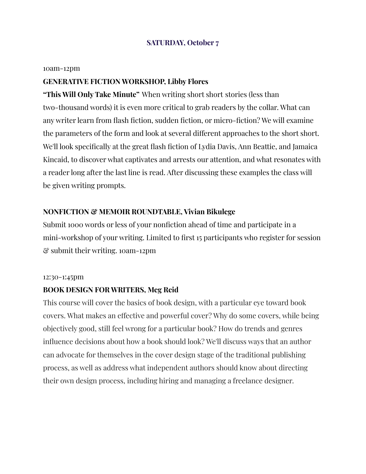## **SATURDAY, October 7**

#### 10am-12pm

### **GENERATIVE FICTION WORKSHOP, Libby Flores**

**"This Will Only Take Minute"** When writing short short stories (less than two-thousand words) it is even more critical to grab readers by the collar. What can any writer learn from flash fiction, sudden fiction, or micro-fiction? We will examine the parameters of the form and look at several different approaches to the short short. We'll look specifically at the great flash fiction of Lydia Davis, Ann Beattie, and Jamaica Kincaid, to discover what captivates and arrests our attention, and what resonates with a reader long after the last line is read. After discussing these examples the class will be given writing prompts.

### **NONFICTION & MEMOIR ROUNDTABLE, Vivian Bikulege**

Submit 1000 words or less of your nonfiction ahead of time and participate in a mini-workshop of your writing. Limited to first 15 participants who register for session & submit their writing. 10am-12pm

#### 12:30-1:45pm

#### **BOOK DESIGN FOR WRITERS, Meg Reid**

This course will cover the basics of book design, with a particular eye toward book covers. What makes an effective and powerful cover? Why do some covers, while being objectively good, still feel wrong for a particular book? How do trends and genres influence decisions about how a book should look? We'll discuss ways that an author can advocate for themselves in the cover design stage of the traditional publishing process, as well as address what independent authors should know about directing their own design process, including hiring and managing a freelance designer.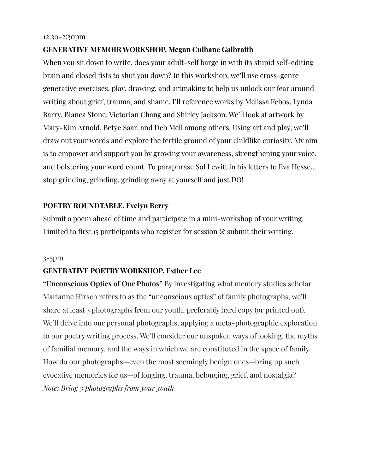#### 12:30-2:30pm

## **GENERATIVE MEMOIR WORKSHOP, Megan Culhane Galbraith**

When you sit down to write, does your adult-self barge in with its stupid self-editing brain and closed fists to shut you down? In this workshop, we'll use cross-genre generative exercises, play, drawing, and artmaking to help us unlock our fear around writing about grief, trauma, and shame. I'll reference works by Melissa Febos, Lynda Barry, Bianca Stone, Victorian Chang and Shirley Jackson. We'll look at artwork by Mary-Kim Arnold, Betye Saar, and Deb Mell among others. Using art and play, we'll draw out your words and explore the fertile ground of your childlike curiosity. My aim is to empower and support you by growing your awareness, strengthening your voice, and bolstering your word count. To paraphrase Sol Lewitt in his letters to Eva Hesse... stop grinding, grinding, grinding away at yourself and just DO!

### **POETRY ROUNDTABLE, Evelyn Berry**

Submit a poem ahead of time and participate in a mini-workshop of your writing. Limited to first 15 participants who register for session  $\mathcal{C}$  submit their writing.

#### 3-5pm

### **GENERATIVE POETRY WORKSHOP, Esther Lee**

**"Unconscious Optics of Our Photos"** By investigating what memory studies scholar Marianne Hirsch refers to as the "unconscious optics" of family photographs, we'll share at least 3 photographs from our youth, preferably hard copy (or printed out). We'll delve into our personal photographs, applying a meta-photographic exploration to our poetry writing process. We'll consider our unspoken ways of looking, the myths of familial memory, and the ways in which we are constituted in the space of family. How do our photographs—even the most seemingly benign ones—bring up such evocative memories for us—of longing, trauma, belonging, grief, and nostalgia? *Note: Bring 3 photographs from your youth*